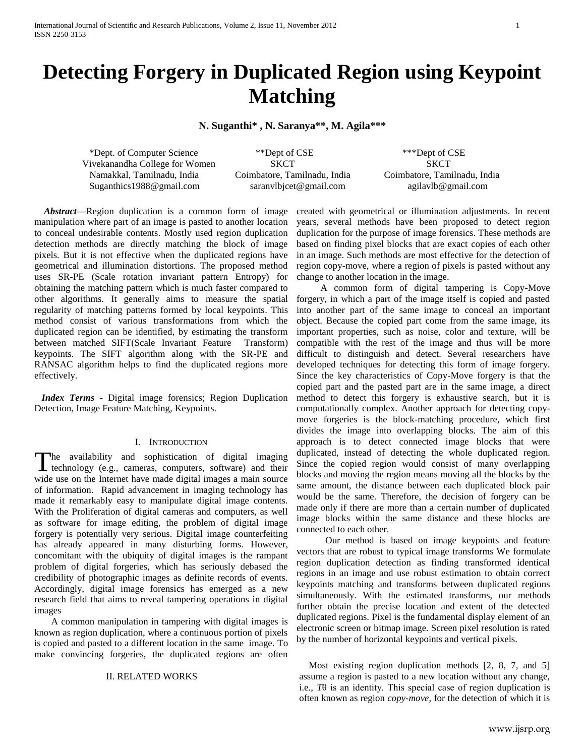**N. Suganthi\* , N. Saranya\*\*, M. Agila\*\*\***

 \*Dept. of Computer Science \*\*Dept of CSE \*\*\*Dept of CSE Vivekanandha College for Women SKCT SKCT Namakkal, Tamilnadu, India Coimbatore, Tamilnadu, India Coimbatore, Tamilnadu, India [Suganthics1988@gmail.com](mailto:Suganthics1988@gmail.com) [saranvlbjcet@gmail.com](mailto:saranvlbjcet@gmail.com) agilavlb@gmail.com

 *Abstract***—**Region duplication is a common form of image manipulation where part of an image is pasted to another location to conceal undesirable contents. Mostly used region duplication detection methods are directly matching the block of image pixels. But it is not effective when the duplicated regions have geometrical and illumination distortions. The proposed method uses SR-PE (Scale rotation invariant pattern Entropy) for obtaining the matching pattern which is much faster compared to other algorithms. It generally aims to measure the spatial regularity of matching patterns formed by local keypoints. This method consist of various transformations from which the duplicated region can be identified, by estimating the transform between matched SIFT(Scale Invariant Feature Transform) keypoints. The SIFT algorithm along with the SR-PE and RANSAC algorithm helps to find the duplicated regions more effectively.

 *Index Terms* - Digital image forensics; Region Duplication Detection, Image Feature Matching, Keypoints.

### I. INTRODUCTION

The availability and sophistication of digital imaging The availability and sophistication of digital imaging<br>technology (e.g., cameras, computers, software) and their wide use on the Internet have made digital images a main source of information. Rapid advancement in imaging technology has made it remarkably easy to manipulate digital image contents. With the Proliferation of digital cameras and computers, as well as software for image editing, the problem of digital image forgery is potentially very serious. Digital image counterfeiting has already appeared in many disturbing forms. However, concomitant with the ubiquity of digital images is the rampant problem of digital forgeries, which has seriously debased the credibility of photographic images as definite records of events. Accordingly, digital image forensics has emerged as a new research field that aims to reveal tampering operations in digital images

 A common manipulation in tampering with digital images is known as region duplication, where a continuous portion of pixels is copied and pasted to a different location in the same image. To make convincing forgeries, the duplicated regions are often

# II. RELATED WORKS

created with geometrical or illumination adjustments. In recent years, several methods have been proposed to detect region duplication for the purpose of image forensics. These methods are based on finding pixel blocks that are exact copies of each other in an image. Such methods are most effective for the detection of region copy-move, where a region of pixels is pasted without any change to another location in the image.

 A common form of digital tampering is Copy-Move forgery, in which a part of the image itself is copied and pasted into another part of the same image to conceal an important object. Because the copied part come from the same image, its important properties, such as noise, color and texture, will be compatible with the rest of the image and thus will be more difficult to distinguish and detect. Several researchers have developed techniques for detecting this form of image forgery. Since the key characteristics of Copy-Move forgery is that the copied part and the pasted part are in the same image, a direct method to detect this forgery is exhaustive search, but it is computationally complex. Another approach for detecting copymove forgeries is the block-matching procedure, which first divides the image into overlapping blocks. The aim of this approach is to detect connected image blocks that were duplicated, instead of detecting the whole duplicated region. Since the copied region would consist of many overlapping blocks and moving the region means moving all the blocks by the same amount, the distance between each duplicated block pair would be the same. Therefore, the decision of forgery can be made only if there are more than a certain number of duplicated image blocks within the same distance and these blocks are connected to each other.

 Our method is based on image keypoints and feature vectors that are robust to typical image transforms We formulate region duplication detection as finding transformed identical regions in an image and use robust estimation to obtain correct keypoints matching and transforms between duplicated regions simultaneously. With the estimated transforms, our methods further obtain the precise location and extent of the detected duplicated regions. Pixel is the fundamental display element of an electronic screen or bitmap image. Screen pixel resolution is rated by the number of horizontal keypoints and vertical pixels.

Most existing region duplication methods [2, 8, 7, and 5] assume a region is pasted to a new location without any change, i.e., *T*θ is an identity. This special case of region duplication is often known as region *copy-move*, for the detection of which it is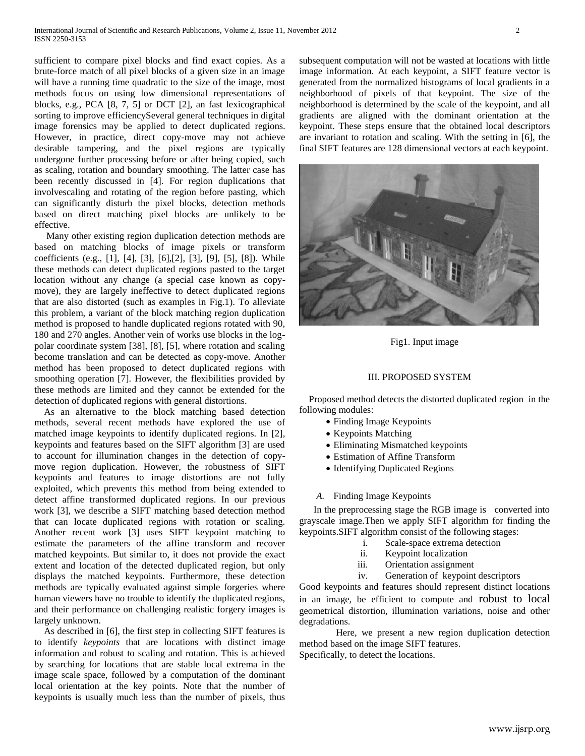sufficient to compare pixel blocks and find exact copies. As a brute-force match of all pixel blocks of a given size in an image will have a running time quadratic to the size of the image, most methods focus on using low dimensional representations of blocks, e.g., PCA [8, 7, 5] or DCT [2], an fast lexicographical sorting to improve efficiencySeveral general techniques in digital image forensics may be applied to detect duplicated regions. However, in practice, direct copy-move may not achieve desirable tampering, and the pixel regions are typically undergone further processing before or after being copied, such as scaling, rotation and boundary smoothing. The latter case has been recently discussed in [4]. For region duplications that involvescaling and rotating of the region before pasting, which can significantly disturb the pixel blocks, detection methods based on direct matching pixel blocks are unlikely to be effective.

Many other existing region duplication detection methods are based on matching blocks of image pixels or transform coefficients (e.g., [1], [4], [3], [6],[2], [3], [9], [5], [8]). While these methods can detect duplicated regions pasted to the target location without any change (a special case known as copymove), they are largely ineffective to detect duplicated regions that are also distorted (such as examples in Fig.1). To alleviate this problem, a variant of the block matching region duplication method is proposed to handle duplicated regions rotated with 90, 180 and 270 angles. Another vein of works use blocks in the logpolar coordinate system [38], [8], [5], where rotation and scaling become translation and can be detected as copy-move. Another method has been proposed to detect duplicated regions with smoothing operation [7]. However, the flexibilities provided by these methods are limited and they cannot be extended for the detection of duplicated regions with general distortions.

As an alternative to the block matching based detection methods, several recent methods have explored the use of matched image keypoints to identify duplicated regions. In [2], keypoints and features based on the SIFT algorithm [3] are used to account for illumination changes in the detection of copymove region duplication. However, the robustness of SIFT keypoints and features to image distortions are not fully exploited, which prevents this method from being extended to detect affine transformed duplicated regions. In our previous work [3], we describe a SIFT matching based detection method that can locate duplicated regions with rotation or scaling. Another recent work [3] uses SIFT keypoint matching to estimate the parameters of the affine transform and recover matched keypoints. But similar to, it does not provide the exact extent and location of the detected duplicated region, but only displays the matched keypoints. Furthermore, these detection methods are typically evaluated against simple forgeries where human viewers have no trouble to identify the duplicated regions, and their performance on challenging realistic forgery images is largely unknown.

As described in [6], the first step in collecting SIFT features is to identify *keypoints* that are locations with distinct image information and robust to scaling and rotation. This is achieved by searching for locations that are stable local extrema in the image scale space, followed by a computation of the dominant local orientation at the key points. Note that the number of keypoints is usually much less than the number of pixels, thus

subsequent computation will not be wasted at locations with little image information. At each keypoint, a SIFT feature vector is generated from the normalized histograms of local gradients in a neighborhood of pixels of that keypoint. The size of the neighborhood is determined by the scale of the keypoint, and all gradients are aligned with the dominant orientation at the keypoint. These steps ensure that the obtained local descriptors are invariant to rotation and scaling. With the setting in [6], the final SIFT features are 128 dimensional vectors at each keypoint.



Fig1. Input image

# III. PROPOSED SYSTEM

Proposed method detects the distorted duplicated region in the following modules:

- Finding Image Keypoints
- Keypoints Matching
- Eliminating Mismatched keypoints
- Estimation of Affine Transform
- Identifying Duplicated Regions

### *A.* Finding Image Keypoints

 In the preprocessing stage the RGB image is converted into grayscale image.Then we apply SIFT algorithm for finding the keypoints.SIFT algorithm consist of the following stages:

- i. Scale-space extrema detection
- ii. Keypoint localization
- iii. Orientation assignment
- iv. Generation of keypoint descriptors

Good keypoints and features should represent distinct locations in an image, be efficient to compute and robust to local geometrical distortion, illumination variations, noise and other degradations.

Here, we present a new region duplication detection method based on the image SIFT features.

Specifically, to detect the locations.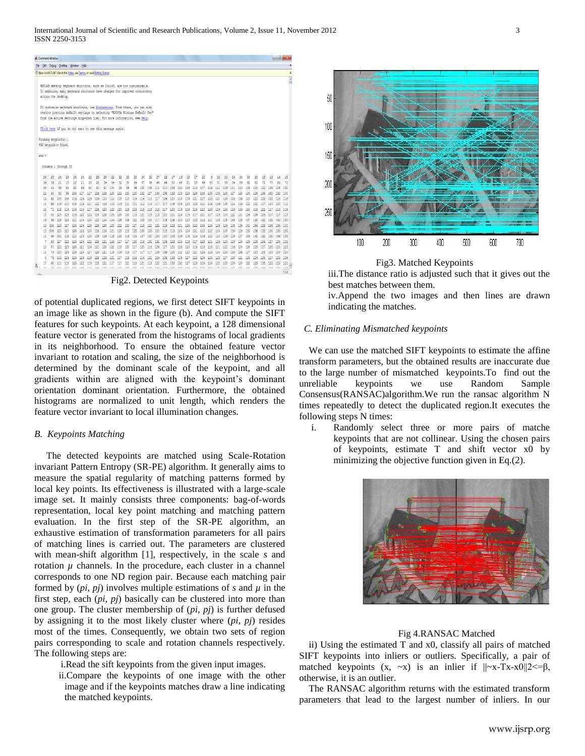

Fig2. Detected Keypoints

of potential duplicated regions, we first detect SIFT keypoints in an image like as shown in the figure (b). And compute the SIFT features for such keypoints. At each keypoint, a 128 dimensional feature vector is generated from the histograms of local gradients in its neighborhood. To ensure the obtained feature vector invariant to rotation and scaling, the size of the neighborhood is determined by the dominant scale of the keypoint, and all gradients within are aligned with the keypoint's dominant orientation dominant orientation. Furthermore, the obtained histograms are normalized to unit length, which renders the feature vector invariant to local illumination changes.

### *B. Keypoints Matching*

 The detected keypoints are matched using Scale-Rotation invariant Pattern Entropy (SR-PE) algorithm. It generally aims to measure the spatial regularity of matching patterns formed by local key points. Its effectiveness is illustrated with a large-scale image set. It mainly consists three components: bag-of-words representation, local key point matching and matching pattern evaluation. In the first step of the SR-PE algorithm, an exhaustive estimation of transformation parameters for all pairs of matching lines is carried out. The parameters are clustered with mean-shift algorithm [1], respectively, in the scale *s* and rotation  $\mu$  channels. In the procedure, each cluster in a channel corresponds to one ND region pair. Because each matching pair formed by  $(pi, pj)$  involves multiple estimations of *s* and  $\mu$  in the first step, each (*pi*, *pj*) basically can be clustered into more than one group. The cluster membership of (*pi*, *pj*) is further defused by assigning it to the most likely cluster where (*pi*, *pj*) resides most of the times. Consequently, we obtain two sets of region pairs corresponding to scale and rotation channels respectively. The following steps are:

i.Read the sift keypoints from the given input images.

 ii.Compare the keypoints of one image with the other image and if the keypoints matches draw a line indicating the matched keypoints.



Fig3. Matched Keypoints

iii.The distance ratio is adjusted such that it gives out the best matches between them.

iv.Append the two images and then lines are drawn indicating the matches.

### *C. Eliminating Mismatched keypoints*

We can use the matched SIFT keypoints to estimate the affine transform parameters, but the obtained results are inaccurate due to the large number of mismatched keypoints.To find out the unreliable keypoints we use Random Sample Consensus(RANSAC)algorithm.We run the ransac algorithm N times repeatedly to detect the duplicated region.It executes the following steps N times:

i. Randomly select three or more pairs of matche keypoints that are not collinear. Using the chosen pairs of keypoints, estimate T and shift vector x0 by minimizing the objective function given in Eq.(2).



### Fig 4.RANSAC Matched

ii) Using the estimated T and x0, classify all pairs of matched SIFT keypoints into inliers or outliers. Specifically, a pair of matched keypoints  $(x, \sim x)$  is an inlier if  $||\sim x-Tx-x0||2 \leq \beta$ , otherwise, it is an outlier.

The RANSAC algorithm returns with the estimated transform parameters that lead to the largest number of inliers. In our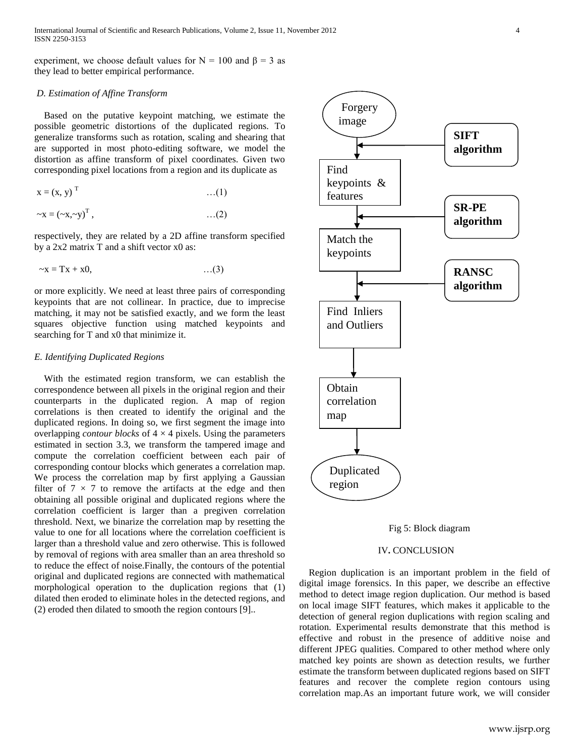experiment, we choose default values for  $N = 100$  and  $\beta = 3$  as they lead to better empirical performance.

# *D. Estimation of Affine Transform*

Based on the putative keypoint matching, we estimate the possible geometric distortions of the duplicated regions. To generalize transforms such as rotation, scaling and shearing that are supported in most photo-editing software, we model the distortion as affine transform of pixel coordinates. Given two corresponding pixel locations from a region and its duplicate as

$$
x = (x, y)^T \qquad \qquad \dots (1)
$$

$$
\sim x = (\sim x, \sim y)^T, \qquad \qquad \dots (2)
$$

respectively, they are related by a 2D affine transform specified by a 2x2 matrix T and a shift vector x0 as:

$$
-x = Tx + x0, \qquad \qquad \dots (3)
$$

or more explicitly. We need at least three pairs of corresponding keypoints that are not collinear. In practice, due to imprecise matching, it may not be satisfied exactly, and we form the least squares objective function using matched keypoints and searching for T and x0 that minimize it.

## *E. Identifying Duplicated Regions*

With the estimated region transform, we can establish the correspondence between all pixels in the original region and their counterparts in the duplicated region. A map of region correlations is then created to identify the original and the duplicated regions. In doing so, we first segment the image into overlapping *contour blocks* of  $4 \times 4$  pixels. Using the parameters estimated in section 3.3, we transform the tampered image and compute the correlation coefficient between each pair of corresponding contour blocks which generates a correlation map. We process the correlation map by first applying a Gaussian filter of  $7 \times 7$  to remove the artifacts at the edge and then obtaining all possible original and duplicated regions where the correlation coefficient is larger than a pregiven correlation threshold. Next, we binarize the correlation map by resetting the value to one for all locations where the correlation coefficient is larger than a threshold value and zero otherwise. This is followed by removal of regions with area smaller than an area threshold so to reduce the effect of noise.Finally, the contours of the potential original and duplicated regions are connected with mathematical morphological operation to the duplication regions that (1) dilated then eroded to eliminate holes in the detected regions, and (2) eroded then dilated to smooth the region contours [9]..





# IV**.** CONCLUSION

Region duplication is an important problem in the field of digital image forensics. In this paper, we describe an effective method to detect image region duplication. Our method is based on local image SIFT features, which makes it applicable to the detection of general region duplications with region scaling and rotation. Experimental results demonstrate that this method is effective and robust in the presence of additive noise and different JPEG qualities. Compared to other method where only matched key points are shown as detection results, we further estimate the transform between duplicated regions based on SIFT features and recover the complete region contours using correlation map.As an important future work, we will consider